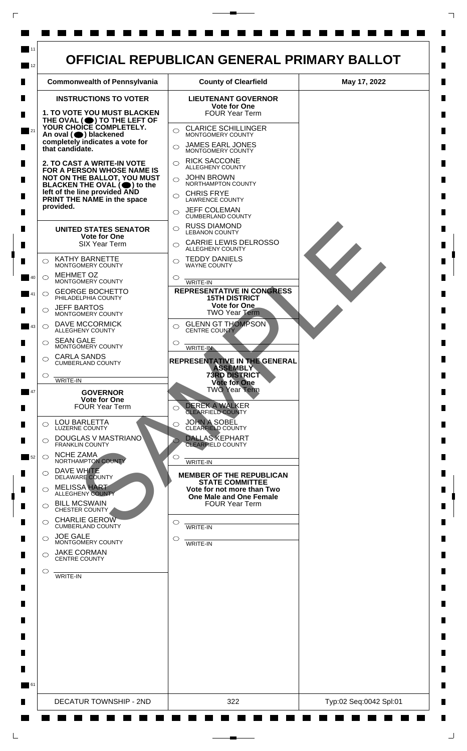

L

 $\Box$